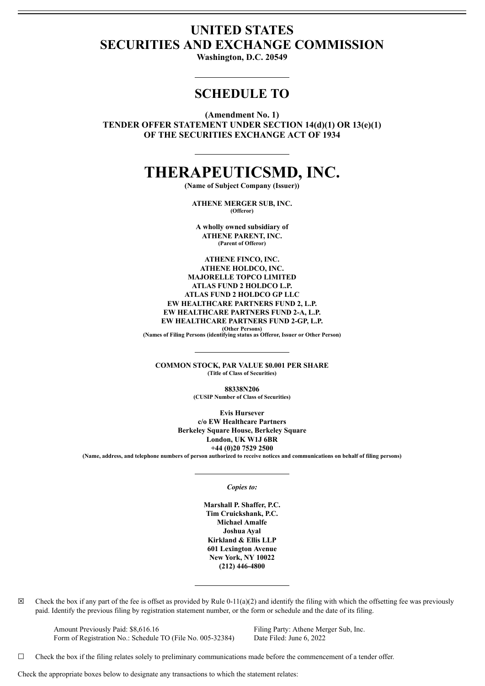# **UNITED STATES SECURITIES AND EXCHANGE COMMISSION**

**Washington, D.C. 20549**

# **SCHEDULE TO**

**(Amendment No. 1)**

**TENDER OFFER STATEMENT UNDER SECTION 14(d)(1) OR 13(e)(1) OF THE SECURITIES EXCHANGE ACT OF 1934**

# **THERAPEUTICSMD, INC.**

**(Name of Subject Company (Issuer))**

**ATHENE MERGER SUB, INC. (Offeror)**

**A wholly owned subsidiary of ATHENE PARENT, INC. (Parent of Offeror)**

**ATHENE FINCO, INC. ATHENE HOLDCO, INC. MAJORELLE TOPCO LIMITED ATLAS FUND 2 HOLDCO L.P. ATLAS FUND 2 HOLDCO GP LLC EW HEALTHCARE PARTNERS FUND 2, L.P. EW HEALTHCARE PARTNERS FUND 2-A, L.P. EW HEALTHCARE PARTNERS FUND 2-GP, L.P.**

**(Other Persons) (Names of Filing Persons (identifying status as Offeror, Issuer or Other Person)**

**COMMON STOCK, PAR VALUE \$0.001 PER SHARE (Title of Class of Securities)**

> **88338N206 (CUSIP Number of Class of Securities)**

**Evis Hursever c/o EW Healthcare Partners Berkeley Square House, Berkeley Square London, UK W1J 6BR +44 (0)20 7529 2500** (Name, address, and telephone numbers of person authorized to receive notices and communications on behalf of filing persons)

#### *Copies to:*

**Marshall P. Shaffer, P.C. Tim Cruickshank, P.C. Michael Amalfe Joshua Ayal Kirkland & Ellis LLP 601 Lexington Avenue New York, NY 10022 (212) 446-4800**

 $\boxtimes$  Check the box if any part of the fee is offset as provided by Rule 0-11(a)(2) and identify the filing with which the offsetting fee was previously paid. Identify the previous filing by registration statement number, or the form or schedule and the date of its filing.

Amount Previously Paid: \$8,616.16 Filing Party: Athene Merger Sub, Inc. Form of Registration No.: Schedule TO (File No. 005-32384) Date Filed: June 6, 2022

 $\Box$  Check the box if the filing relates solely to preliminary communications made before the commencement of a tender offer.

Check the appropriate boxes below to designate any transactions to which the statement relates: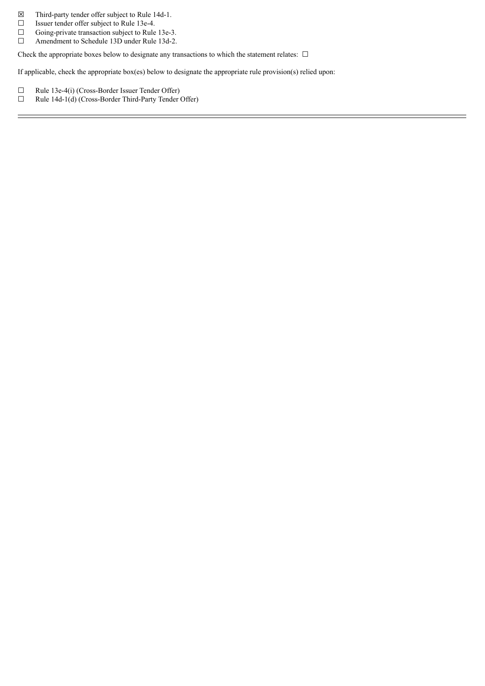- $\boxtimes$  Third-party tender offer subject to Rule 14d-1.<br>□ Issuer tender offer subject to Rule 13e-4.
- □ Issuer tender offer subject to Rule 13e-4.<br>□ Going-private transaction subject to Rule
- $\Box$  Going-private transaction subject to Rule 13e-3.<br> $\Box$  Amendment to Schedule 13D under Rule 13d-2. Amendment to Schedule 13D under Rule 13d-2.

Check the appropriate boxes below to designate any transactions to which the statement relates:  $\Box$ 

If applicable, check the appropriate box(es) below to designate the appropriate rule provision(s) relied upon:

- $□$  Rule 13e-4(i) (Cross-Border Issuer Tender Offer)<br>
□ Rule 14d-1(d) (Cross-Border Third-Party Tender 0
- Rule 14d-1(d) (Cross-Border Third-Party Tender Offer)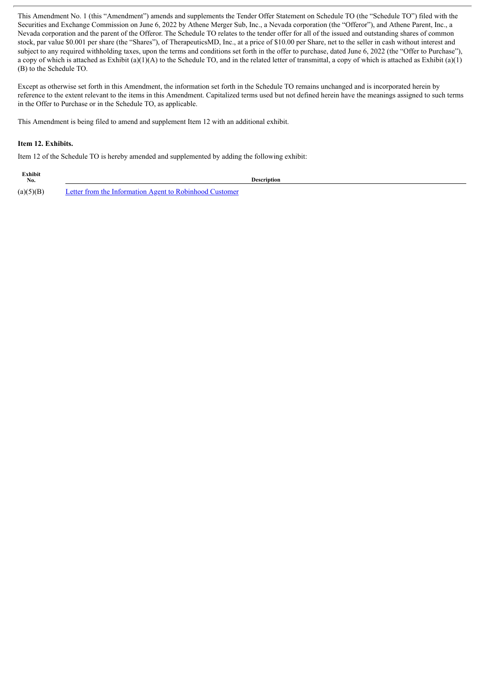This Amendment No. 1 (this "Amendment") amends and supplements the Tender Offer Statement on Schedule TO (the "Schedule TO") filed with the Securities and Exchange Commission on June 6, 2022 by Athene Merger Sub, Inc., a Nevada corporation (the "Offeror"), and Athene Parent, Inc., a Nevada corporation and the parent of the Offeror. The Schedule TO relates to the tender offer for all of the issued and outstanding shares of common stock, par value \$0.001 per share (the "Shares"), of TherapeuticsMD, Inc., at a price of \$10.00 per Share, net to the seller in cash without interest and subject to any required withholding taxes, upon the terms and conditions set forth in the offer to purchase, dated June 6, 2022 (the "Offer to Purchase"), a copy of which is attached as Exhibit (a)(1)(A) to the Schedule TO, and in the related letter of transmittal, a copy of which is attached as Exhibit (a)(1) (B) to the Schedule TO.

Except as otherwise set forth in this Amendment, the information set forth in the Schedule TO remains unchanged and is incorporated herein by reference to the extent relevant to the items in this Amendment. Capitalized terms used but not defined herein have the meanings assigned to such terms in the Offer to Purchase or in the Schedule TO, as applicable.

This Amendment is being filed to amend and supplement Item 12 with an additional exhibit.

#### **Item 12. Exhibits.**

Item 12 of the Schedule TO is hereby amended and supplemented by adding the following exhibit:

| Exhibit<br>No. |                                                         | Description |
|----------------|---------------------------------------------------------|-------------|
| (a)(5)(B)      | Letter from the Information Agent to Robinhood Customer |             |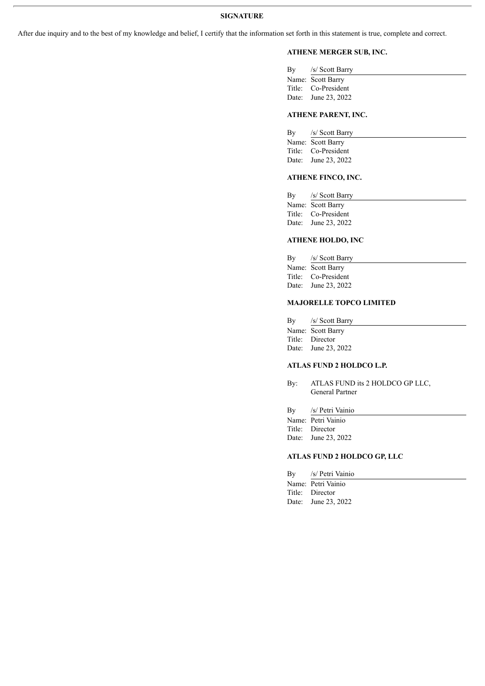After due inquiry and to the best of my knowledge and belief, I certify that the information set forth in this statement is true, complete and correct.

# **ATHENE MERGER SUB, INC.**

| By /s/ Scott Barry  |
|---------------------|
| Name: Scott Barry   |
| Title: Co-President |
| Date: June 23, 2022 |
|                     |

#### **ATHENE PARENT, INC.**

| By /s/ Scott Barry  |
|---------------------|
| Name: Scott Barry   |
| Title: Co-President |
| Date: June 23, 2022 |
|                     |

#### **ATHENE FINCO, INC.**

| $\rm\,By$ | /s/ Scott Barry     |
|-----------|---------------------|
|           | Name: Scott Barry   |
|           | Title: Co-President |
|           | Date: June 23, 2022 |
|           |                     |

#### **ATHENE HOLDO, INC**

| By | /s/ Scott Barry     |
|----|---------------------|
|    | Name: Scott Barry   |
|    | Title: Co-President |
|    | Date: June 23, 2022 |

### **MAJORELLE TOPCO LIMITED**

| By    | /s/ Scott Barry   |
|-------|-------------------|
|       | Name: Scott Barry |
|       | Title: Director   |
| Date: | June 23, 2022     |

# **ATLAS FUND 2 HOLDCO L.P.**

By: ATLAS FUND its 2 HOLDCO GP LLC, General Partner

By /s/ Petri Vainio

Name: Petri Vainio

Title: Director Date: June 23, 2022

## **ATLAS FUND 2 HOLDCO GP, LLC**

By /s/ Petri Vainio Name: Petri Vainio Title: Director Date: June 23, 2022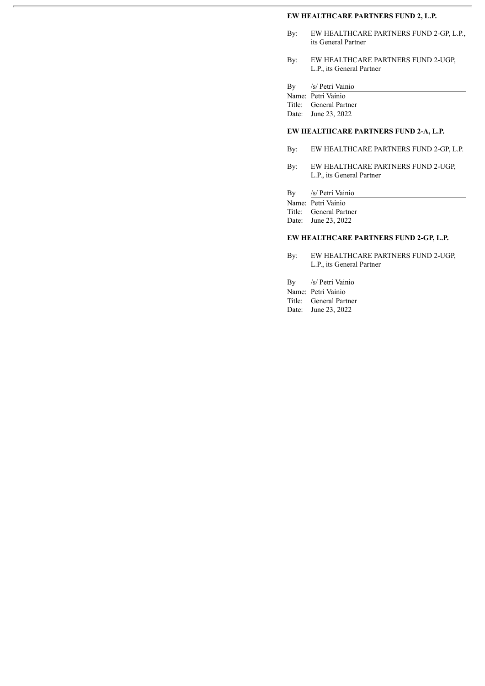#### **EW HEALTHCARE PARTNERS FUND 2, L.P.**

- By: EW HEALTHCARE PARTNERS FUND 2-GP, L.P., its General Partner
- By: EW HEALTHCARE PARTNERS FUND 2-UGP, L.P., its General Partner

| Вy |  | /s/ Petri Vainio |
|----|--|------------------|
|    |  |                  |

|        | Name: Petri Vainio |
|--------|--------------------|
| Title: | General Partner    |

Date: June 23, 2022

# **EW HEALTHCARE PARTNERS FUND 2-A, L.P.**

- By: EW HEALTHCARE PARTNERS FUND 2-GP, L.P.
- By: EW HEALTHCARE PARTNERS FUND 2-UGP, L.P., its General Partner
- By /s/ Petri Vainio

|        | Name: Petri Vainio     |
|--------|------------------------|
| Title: | <b>General Partner</b> |

Date: June 23, 2022

#### **EW HEALTHCARE PARTNERS FUND 2-GP, L.P.**

- By: EW HEALTHCARE PARTNERS FUND 2-UGP, L.P., its General Partner
- By /s/ Petri Vainio

Name: Petri Vainio Title: General Partner Date: June 23, 2022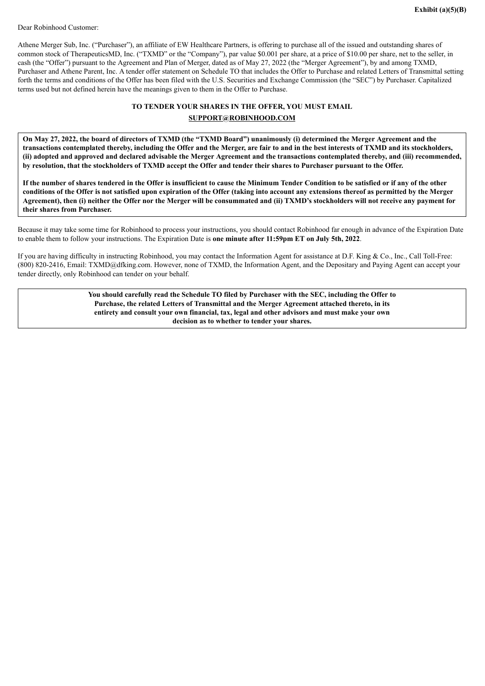<span id="page-5-0"></span>Dear Robinhood Customer:

Athene Merger Sub, Inc. ("Purchaser"), an affiliate of EW Healthcare Partners, is offering to purchase all of the issued and outstanding shares of common stock of TherapeuticsMD, Inc. ("TXMD" or the "Company"), par value \$0.001 per share, at a price of \$10.00 per share, net to the seller, in cash (the "Offer") pursuant to the Agreement and Plan of Merger, dated as of May 27, 2022 (the "Merger Agreement"), by and among TXMD, Purchaser and Athene Parent, Inc. A tender offer statement on Schedule TO that includes the Offer to Purchase and related Letters of Transmittal setting forth the terms and conditions of the Offer has been filed with the U.S. Securities and Exchange Commission (the "SEC") by Purchaser. Capitalized terms used but not defined herein have the meanings given to them in the Offer to Purchase.

# **TO TENDER YOUR SHARES IN THE OFFER, YOU MUST EMAIL SUPPORT@ROBINHOOD.COM**

On May 27, 2022, the board of directors of TXMD (the "TXMD Board") unanimously (i) determined the Merger Agreement and the transactions contemplated thereby, including the Offer and the Merger, are fair to and in the best interests of TXMD and its stockholders, (ii) adopted and approved and declared advisable the Merger Agreement and the transactions contemplated thereby, and (iii) recommended, by resolution, that the stockholders of TXMD accept the Offer and tender their shares to Purchaser pursuant to the Offer.

If the number of shares tendered in the Offer is insufficient to cause the Minimum Tender Condition to be satisfied or if any of the other conditions of the Offer is not satisfied upon expiration of the Offer (taking into account any extensions thereof as permitted by the Merger Agreement), then (i) neither the Offer nor the Merger will be consummated and (ii) TXMD's stockholders will not receive any payment for **their shares from Purchaser.**

Because it may take some time for Robinhood to process your instructions, you should contact Robinhood far enough in advance of the Expiration Date to enable them to follow your instructions. The Expiration Date is **one minute after 11:59pm ET on July 5th, 2022**.

If you are having difficulty in instructing Robinhood, you may contact the Information Agent for assistance at D.F. King & Co., Inc., Call Toll-Free: (800) 820-2416, Email: TXMD@dfking.com. However, none of TXMD, the Information Agent, and the Depositary and Paying Agent can accept your tender directly, only Robinhood can tender on your behalf.

> **You should carefully read the Schedule TO filed by Purchaser with the SEC, including the Offer to Purchase, the related Letters of Transmittal and the Merger Agreement attached thereto, in its entirety and consult your own financial, tax, legal and other advisors and must make your own decision as to whether to tender your shares.**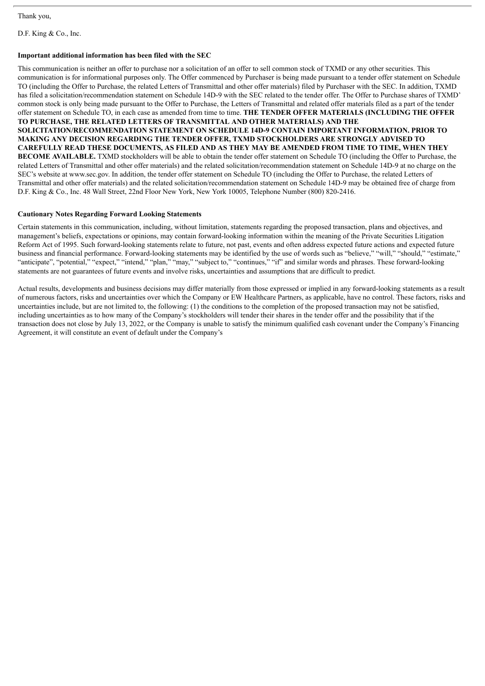Thank you,

D.F. King & Co., Inc.

#### **Important additional information has been filed with the SEC**

This communication is neither an offer to purchase nor a solicitation of an offer to sell common stock of TXMD or any other securities. This communication is for informational purposes only. The Offer commenced by Purchaser is being made pursuant to a tender offer statement on Schedule TO (including the Offer to Purchase, the related Letters of Transmittal and other offer materials) filed by Purchaser with the SEC. In addition, TXMD has filed a solicitation/recommendation statement on Schedule 14D-9 with the SEC related to the tender offer. The Offer to Purchase shares of TXMD' common stock is only being made pursuant to the Offer to Purchase, the Letters of Transmittal and related offer materials filed as a part of the tender offer statement on Schedule TO, in each case as amended from time to time. **THE TENDER OFFER MATERIALS (INCLUDING THE OFFER TO PURCHASE, THE RELATED LETTERS OF TRANSMITTAL AND OTHER MATERIALS) AND THE SOLICITATION/RECOMMENDATION STATEMENT ON SCHEDULE 14D-9 CONTAIN IMPORTANT INFORMATION. PRIOR TO MAKING ANY DECISION REGARDING THE TENDER OFFER, TXMD STOCKHOLDERS ARE STRONGLY ADVISED TO CAREFULLY READ THESE DOCUMENTS, AS FILED AND AS THEY MAY BE AMENDED FROM TIME TO TIME, WHEN THEY BECOME AVAILABLE.** TXMD stockholders will be able to obtain the tender offer statement on Schedule TO (including the Offer to Purchase, the related Letters of Transmittal and other offer materials) and the related solicitation/recommendation statement on Schedule 14D-9 at no charge on the SEC's website at www.sec.gov. In addition, the tender offer statement on Schedule TO (including the Offer to Purchase, the related Letters of Transmittal and other offer materials) and the related solicitation/recommendation statement on Schedule 14D-9 may be obtained free of charge from D.F. King & Co., Inc. 48 Wall Street, 22nd Floor New York, New York 10005, Telephone Number (800) 820-2416.

#### **Cautionary Notes Regarding Forward Looking Statements**

Certain statements in this communication, including, without limitation, statements regarding the proposed transaction, plans and objectives, and management's beliefs, expectations or opinions, may contain forward-looking information within the meaning of the Private Securities Litigation Reform Act of 1995. Such forward-looking statements relate to future, not past, events and often address expected future actions and expected future business and financial performance. Forward-looking statements may be identified by the use of words such as "believe," "will," "should," "estimate," "anticipate", "potential," "expect," "intend," "plan," "may," "subject to," "continues," "if" and similar words and phrases. These forward-looking statements are not guarantees of future events and involve risks, uncertainties and assumptions that are difficult to predict.

Actual results, developments and business decisions may differ materially from those expressed or implied in any forward-looking statements as a result of numerous factors, risks and uncertainties over which the Company or EW Healthcare Partners, as applicable, have no control. These factors, risks and uncertainties include, but are not limited to, the following: (1) the conditions to the completion of the proposed transaction may not be satisfied, including uncertainties as to how many of the Company's stockholders will tender their shares in the tender offer and the possibility that if the transaction does not close by July 13, 2022, or the Company is unable to satisfy the minimum qualified cash covenant under the Company's Financing Agreement, it will constitute an event of default under the Company's